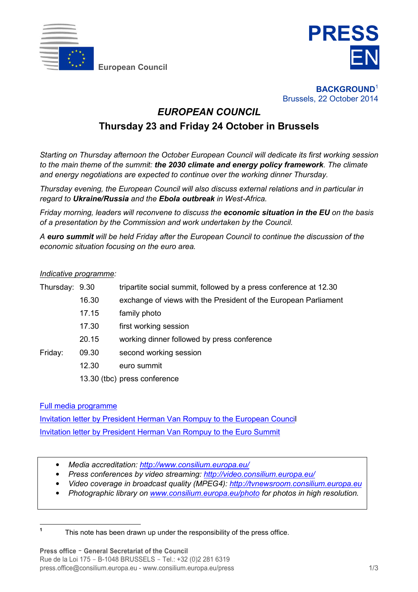

**European Council**



**BACKGROUND**<sup>1</sup> Brussels, 22 October 2014

## *EUROPEAN COUNCIL*

# **Thursday 23 and Friday 24 October in Brussels**

*Starting on Thursday afternoon the October European Council will dedicate its first working session to the main theme of the summit: the 2030 climate and energy policy framework. The climate and energy negotiations are expected to continue over the working dinner Thursday.* 

*Thursday evening, the European Council will also discuss external relations and in particular in regard to Ukraine/Russia and the Ebola outbreak in West-Africa.* 

*Friday morning, leaders will reconvene to discuss the economic situation in the EU on the basis of a presentation by the Commission and work undertaken by the Council.* 

*A euro summit will be held Friday after the European Council to continue the discussion of the economic situation focusing on the euro area.* 

## *Indicative programme:*

| Thursday: 9.30 |       | tripartite social summit, followed by a press conference at 12.30 |
|----------------|-------|-------------------------------------------------------------------|
|                | 16.30 | exchange of views with the President of the European Parliament   |
|                | 17.15 | family photo                                                      |
|                | 17.30 | first working session                                             |
|                | 20.15 | working dinner followed by press conference                       |
| Friday:        | 09.30 | second working session                                            |
|                | 12.30 | euro summit                                                       |
|                |       | 13.30 (tbc) press conference                                      |
|                |       |                                                                   |

[Full media programme](http://www.consilium.europa.eu/uedocs/cms_data/docs/pressdata/en/ec/145134.pdf)

[Invitation letter by President Herman Van Rompuy to the European Council](http://www.consilium.europa.eu/uedocs/cms_data/docs/pressdata/en/ec/145261.pdf) [Invitation letter by President Herman Van Rompuy to the Euro Summit](http://www.consilium.europa.eu/uedocs/cms_data/docs/pressdata/en/ec/145262.pdf)

- *Media accreditation: [http://www.consilium.europa.eu/](http://european-council.europa.eu/council-meetings/media-accreditation?lang=en)*
- *Press conferences by video streaming: <http://video.consilium.europa.eu/>*
- *Video coverage in broadcast quality (MPEG4): [http://tvnewsroom.consilium.europa.eu](http://tvnewsroom.consilium.europa.eu/)*
- *Photographic library on [www.consilium.europa.eu/photo](http://www.consilium.europa.eu/photo) for photos in high resolution.*

 **1** This note has been drawn up under the responsibility of the press office.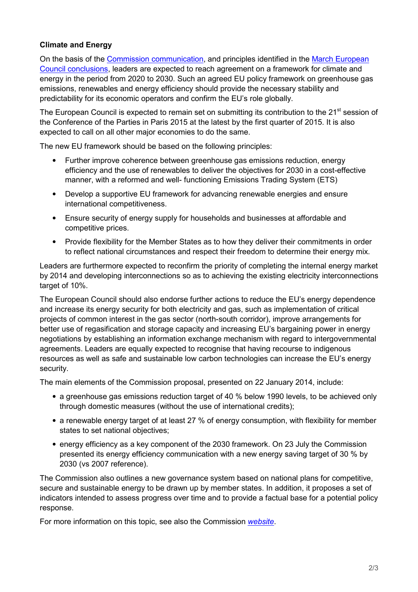## **Climate and Energy**

On the basis of the [Commission communication,](http://register.consilium.europa.eu/pdf/en/14/st05/st05644-re01.en14.pdf) and principles identified in the [March European](http://register.consilium.europa.eu/doc/srv?l=EN&t=PDF&gc=true&sc=false&f=ST%207%202014%20INIT)  [Council conclusions,](http://register.consilium.europa.eu/doc/srv?l=EN&t=PDF&gc=true&sc=false&f=ST%207%202014%20INIT) leaders are expected to reach agreement on a framework for climate and energy in the period from 2020 to 2030. Such an agreed EU policy framework on greenhouse gas emissions, renewables and energy efficiency should provide the necessary stability and predictability for its economic operators and confirm the EU's role globally.

The European Council is expected to remain set on submitting its contribution to the 21<sup>st</sup> session of the Conference of the Parties in Paris 2015 at the latest by the first quarter of 2015. It is also expected to call on all other major economies to do the same.

The new EU framework should be based on the following principles:

- Further improve coherence between greenhouse gas emissions reduction, energy efficiency and the use of renewables to deliver the objectives for 2030 in a cost-effective manner, with a reformed and well- functioning Emissions Trading System (ETS)
- Develop a supportive EU framework for advancing renewable energies and ensure international competitiveness.
- Ensure security of energy supply for households and businesses at affordable and competitive prices.
- Provide flexibility for the Member States as to how they deliver their commitments in order to reflect national circumstances and respect their freedom to determine their energy mix.

Leaders are furthermore expected to reconfirm the priority of completing the internal energy market by 2014 and developing interconnections so as to achieving the existing electricity interconnections target of 10%.

The European Council should also endorse further actions to reduce the EU's energy dependence and increase its energy security for both electricity and gas, such as implementation of critical projects of common interest in the gas sector (north-south corridor), improve arrangements for better use of regasification and storage capacity and increasing EU's bargaining power in energy negotiations by establishing an information exchange mechanism with regard to intergovernmental agreements. Leaders are equally expected to recognise that having recourse to indigenous resources as well as safe and sustainable low carbon technologies can increase the EU's energy security.

The main elements of the Commission proposal, presented on 22 January 2014, include:

- a greenhouse gas emissions reduction target of 40 % below 1990 levels, to be achieved only through domestic measures (without the use of international credits);
- a renewable energy target of at least 27 % of energy consumption, with flexibility for member states to set national objectives;
- energy efficiency as a key component of the 2030 framework. On 23 July the Commission presented its energy efficiency communication with a new energy saving target of 30 % by 2030 (vs 2007 reference).

The Commission also outlines a new governance system based on national plans for competitive, secure and sustainable energy to be drawn up by member states. In addition, it proposes a set of indicators intended to assess progress over time and to provide a factual base for a potential policy response.

For more information on this topic, see also the Commission *[website](http://ec.europa.eu/energy/2030_en.htm)*.